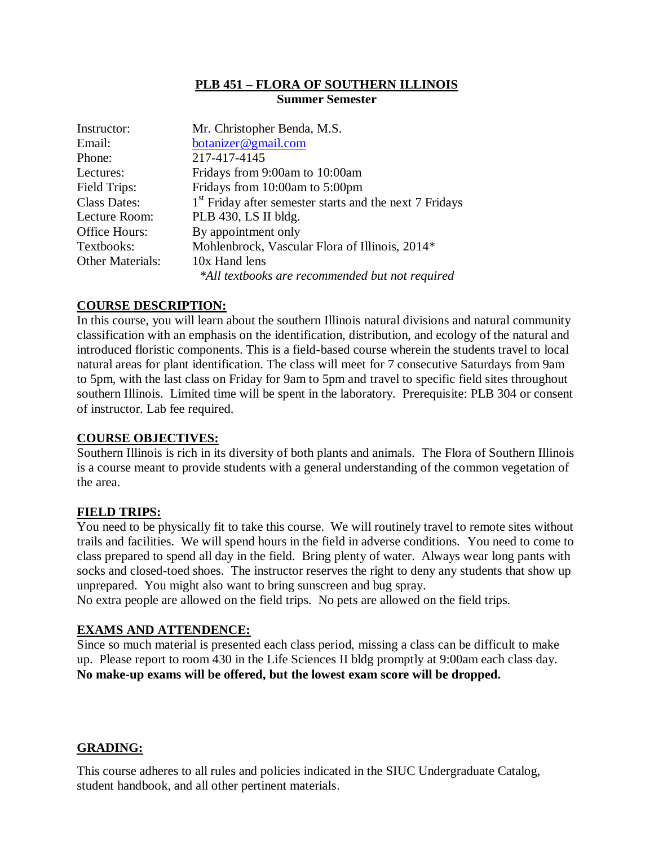## **PLB 451 – FLORA OF SOUTHERN ILLINOIS Summer Semester**

| Instructor:             | Mr. Christopher Benda, M.S.                                         |  |  |
|-------------------------|---------------------------------------------------------------------|--|--|
| Email:                  | botanizer@gmail.com                                                 |  |  |
| Phone:                  | 217-417-4145                                                        |  |  |
| Lectures:               | Fridays from 9:00am to 10:00am                                      |  |  |
| Field Trips:            | Fridays from 10:00am to 5:00pm                                      |  |  |
| <b>Class Dates:</b>     | 1 <sup>st</sup> Friday after semester starts and the next 7 Fridays |  |  |
| Lecture Room:           | PLB 430, LS II bldg.                                                |  |  |
| Office Hours:           | By appointment only                                                 |  |  |
| Textbooks:              | Mohlenbrock, Vascular Flora of Illinois, 2014*                      |  |  |
| <b>Other Materials:</b> | 10x Hand lens                                                       |  |  |
|                         | *All textbooks are recommended but not required                     |  |  |

# **COURSE DESCRIPTION:**

In this course, you will learn about the southern Illinois natural divisions and natural community classification with an emphasis on the identification, distribution, and ecology of the natural and introduced floristic components. This is a field-based course wherein the students travel to local natural areas for plant identification. The class will meet for 7 consecutive Saturdays from 9am to 5pm, with the last class on Friday for 9am to 5pm and travel to specific field sites throughout southern Illinois. Limited time will be spent in the laboratory. Prerequisite: PLB 304 or consent of instructor. Lab fee required.

# **COURSE OBJECTIVES:**

Southern Illinois is rich in its diversity of both plants and animals. The Flora of Southern Illinois is a course meant to provide students with a general understanding of the common vegetation of the area.

# **FIELD TRIPS:**

You need to be physically fit to take this course. We will routinely travel to remote sites without trails and facilities. We will spend hours in the field in adverse conditions. You need to come to class prepared to spend all day in the field. Bring plenty of water. Always wear long pants with socks and closed-toed shoes. The instructor reserves the right to deny any students that show up unprepared. You might also want to bring sunscreen and bug spray.

No extra people are allowed on the field trips. No pets are allowed on the field trips.

## **EXAMS AND ATTENDENCE:**

Since so much material is presented each class period, missing a class can be difficult to make up. Please report to room 430 in the Life Sciences II bldg promptly at 9:00am each class day. **No make-up exams will be offered, but the lowest exam score will be dropped.**

## **GRADING:**

This course adheres to all rules and policies indicated in the SIUC Undergraduate Catalog, student handbook, and all other pertinent materials.